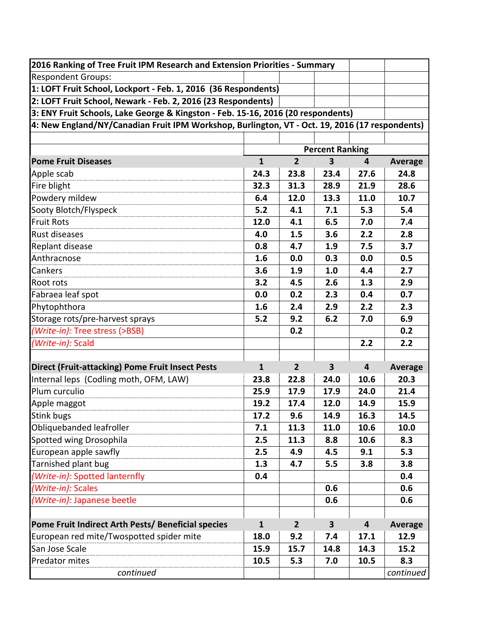| 2016 Ranking of Tree Fruit IPM Research and Extension Priorities - Summary                     |                        |                |                         |                         |                |
|------------------------------------------------------------------------------------------------|------------------------|----------------|-------------------------|-------------------------|----------------|
| <b>Respondent Groups:</b>                                                                      |                        |                |                         |                         |                |
| 1: LOFT Fruit School, Lockport - Feb. 1, 2016 (36 Respondents)                                 |                        |                |                         |                         |                |
| 2: LOFT Fruit School, Newark - Feb. 2, 2016 (23 Respondents)                                   |                        |                |                         |                         |                |
| 3: ENY Fruit Schools, Lake George & Kingston - Feb. 15-16, 2016 (20 respondents)               |                        |                |                         |                         |                |
| 4: New England/NY/Canadian Fruit IPM Workshop, Burlington, VT - Oct. 19, 2016 (17 respondents) |                        |                |                         |                         |                |
|                                                                                                |                        |                |                         |                         |                |
|                                                                                                | <b>Percent Ranking</b> |                |                         |                         |                |
| <b>Pome Fruit Diseases</b>                                                                     | $\mathbf{1}$           | $\overline{2}$ | $\overline{\mathbf{3}}$ | 4                       | <b>Average</b> |
| Apple scab                                                                                     | 24.3                   | 23.8           | 23.4                    | 27.6                    | 24.8           |
| Fire blight                                                                                    | 32.3                   | 31.3           | 28.9                    | 21.9                    | 28.6           |
| Powdery mildew                                                                                 | 6.4                    | 12.0           | 13.3                    | 11.0                    | 10.7           |
| Sooty Blotch/Flyspeck                                                                          | 5.2                    | 4.1            | 7.1                     | 5.3                     | 5.4            |
| <b>Fruit Rots</b>                                                                              | 12.0                   | 4.1            | 6.5                     | 7.0                     | 7.4            |
| <b>Rust diseases</b>                                                                           | 4.0                    | 1.5            | 3.6                     | 2.2                     | 2.8            |
| Replant disease                                                                                | 0.8                    | 4.7            | 1.9                     | 7.5                     | 3.7            |
| Anthracnose                                                                                    | 1.6                    | 0.0            | 0.3                     | 0.0                     | 0.5            |
| Cankers                                                                                        | 3.6                    | 1.9            | 1.0                     | 4.4                     | 2.7            |
| Root rots                                                                                      | 3.2                    | 4.5            | 2.6                     | 1.3                     | 2.9            |
| Fabraea leaf spot                                                                              | 0.0                    | 0.2            | 2.3                     | 0.4                     | 0.7            |
| Phytophthora                                                                                   | 1.6                    | 2.4            | 2.9                     | 2.2                     | 2.3            |
| Storage rots/pre-harvest sprays                                                                | 5.2                    | 9.2            | 6.2                     | 7.0                     | 6.9            |
| (Write-in): Tree stress (>BSB)                                                                 |                        | 0.2            |                         |                         | 0.2            |
| (Write-in): Scald                                                                              |                        |                |                         | 2.2                     | 2.2            |
|                                                                                                |                        |                |                         |                         |                |
| <b>Direct (Fruit-attacking) Pome Fruit Insect Pests</b>                                        | $\mathbf{1}$           | $\overline{2}$ | $\mathbf{3}$            | $\overline{\mathbf{r}}$ | <b>Average</b> |
| Internal leps (Codling moth, OFM, LAW)                                                         | 23.8                   | 22.8           | 24.0                    | 10.6                    | 20.3           |
| Plum curculio                                                                                  | 25.9                   | 17.9           | 17.9                    | 24.0                    | 21.4           |
| Apple maggot                                                                                   | 19.2                   | 17.4           | 12.0                    | 14.9                    | 15.9           |
| <b>Stink bugs</b>                                                                              | 17.2                   | 9.6            | 14.9                    | 16.3                    | 14.5           |
| Obliquebanded leafroller                                                                       | 7.1                    | 11.3           | 11.0                    | 10.6                    | 10.0           |
| Spotted wing Drosophila                                                                        | 2.5                    | 11.3           | 8.8                     | 10.6                    | 8.3            |
| European apple sawfly                                                                          | 2.5                    | 4.9            | 4.5                     | 9.1                     | 5.3            |
| Tarnished plant bug                                                                            | 1.3                    | 4.7            | 5.5                     | 3.8                     | 3.8            |
| (Write-in): Spotted lanternfly                                                                 | 0.4                    |                |                         |                         | 0.4            |
| (Write-in): Scales                                                                             |                        |                | 0.6                     |                         | 0.6            |
| (Write-in): Japanese beetle                                                                    |                        |                | 0.6                     |                         | 0.6            |
|                                                                                                |                        |                |                         |                         |                |
| Pome Fruit Indirect Arth Pests/ Beneficial species                                             | $\mathbf{1}$           | $\overline{2}$ | $\mathbf{3}$            | $\overline{\mathbf{4}}$ | <b>Average</b> |
| European red mite/Twospotted spider mite                                                       | 18.0                   | 9.2            | 7.4                     | 17.1                    | 12.9           |
| San Jose Scale                                                                                 | 15.9                   | 15.7           | 14.8                    | 14.3                    | 15.2           |
| Predator mites                                                                                 | 10.5                   | 5.3            | 7.0                     | 10.5                    | 8.3            |
| continued                                                                                      |                        |                |                         |                         | continued      |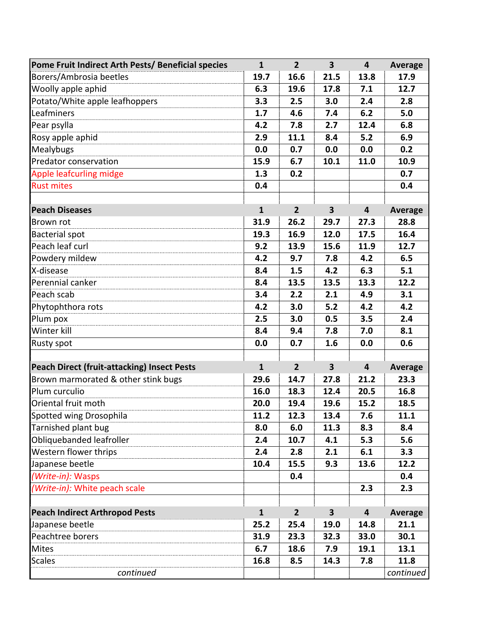| Pome Fruit Indirect Arth Pests/ Beneficial species | $\mathbf{1}$ | $\overline{2}$ | $\overline{\mathbf{3}}$ | $\overline{\mathbf{4}}$ | Average        |
|----------------------------------------------------|--------------|----------------|-------------------------|-------------------------|----------------|
| Borers/Ambrosia beetles                            | 19.7         | 16.6           | 21.5                    | 13.8                    | 17.9           |
| Woolly apple aphid                                 | 6.3          | 19.6           | 17.8                    | 7.1                     | 12.7           |
| Potato/White apple leafhoppers                     | 3.3          | 2.5            | 3.0                     | 2.4                     | 2.8            |
| Leafminers                                         | 1.7          | 4.6            | 7.4                     | 6.2                     | 5.0            |
| Pear psylla                                        | 4.2          | 7.8            | 2.7                     | 12.4                    | 6.8            |
| Rosy apple aphid                                   | 2.9          | 11.1           | 8.4                     | 5.2                     | 6.9            |
| Mealybugs                                          | 0.0          | 0.7            | 0.0                     | 0.0                     | 0.2            |
| Predator conservation                              | 15.9         | 6.7            | 10.1                    | 11.0                    | 10.9           |
| Apple leafcurling midge                            | 1.3          | 0.2            |                         |                         | 0.7            |
| <b>Rust mites</b>                                  | 0.4          |                |                         |                         | 0.4            |
|                                                    |              |                |                         |                         |                |
| <b>Peach Diseases</b>                              | $\mathbf{1}$ | $\overline{2}$ | $\overline{\mathbf{3}}$ | $\overline{\mathbf{4}}$ | <b>Average</b> |
| <b>Brown rot</b>                                   | 31.9         | 26.2           | 29.7                    | 27.3                    | 28.8           |
| <b>Bacterial spot</b>                              | 19.3         | 16.9           | 12.0                    | 17.5                    | 16.4           |
| Peach leaf curl                                    | 9.2          | 13.9           | 15.6                    | 11.9                    | 12.7           |
| Powdery mildew                                     | 4.2          | 9.7            | 7.8                     | 4.2                     | 6.5            |
| X-disease                                          | 8.4          | 1.5            | 4.2                     | 6.3                     | 5.1            |
| Perennial canker                                   | 8.4          | 13.5           | 13.5                    | 13.3                    | 12.2           |
| Peach scab                                         | 3.4          | 2.2            | 2.1                     | 4.9                     | 3.1            |
| Phytophthora rots                                  | 4.2          | 3.0            | 5.2                     | 4.2                     | 4.2            |
| Plum pox                                           | 2.5          | 3.0            | 0.5                     | 3.5                     | 2.4            |
| Winter kill                                        | 8.4          | 9.4            | 7.8                     | 7.0                     | 8.1            |
| <b>Rusty spot</b>                                  | 0.0          | 0.7            | 1.6                     | 0.0                     | 0.6            |
|                                                    |              |                |                         |                         |                |
| <b>Peach Direct (fruit-attacking) Insect Pests</b> | $\mathbf{1}$ | $\overline{2}$ | $\overline{\mathbf{3}}$ | 4                       | <b>Average</b> |
| Brown marmorated & other stink bugs                | 29.6         | 14.7           | 27.8                    | 21.2                    | 23.3           |
| Plum curculio                                      | 16.0         | 18.3           | 12.4                    | 20.5                    | 16.8           |
| Oriental fruit moth                                | 20.0         | 19.4           | 19.6                    | 15.2                    | 18.5           |
| Spotted wing Drosophila                            | 11.2         | 12.3           | 13.4                    | 7.6                     | 11.1           |
| Tarnished plant bug                                | 8.0          | 6.0            | 11.3                    | 8.3                     | 8.4            |
| Obliquebanded leafroller                           | 2.4          | 10.7           | 4.1                     | 5.3                     | 5.6            |
| Western flower thrips                              | 2.4          | 2.8            | 2.1                     | 6.1                     | 3.3            |
| Japanese beetle                                    | 10.4         | 15.5           | 9.3                     | 13.6                    | 12.2           |
| (Write-in): Wasps                                  |              | 0.4            |                         |                         | 0.4            |
| (Write-in): White peach scale                      |              |                |                         | 2.3                     | 2.3            |
|                                                    |              |                |                         |                         |                |
| <b>Peach Indirect Arthropod Pests</b>              | $\mathbf{1}$ | 2 <sup>2</sup> | $\overline{\mathbf{3}}$ | $\overline{\mathbf{4}}$ | Average        |
| Japanese beetle                                    | 25.2         | 25.4           | 19.0                    | 14.8                    | 21.1           |
| Peachtree borers                                   | 31.9         | 23.3           | 32.3                    | 33.0                    | 30.1           |
| <b>Mites</b>                                       | 6.7          | 18.6           | 7.9                     | 19.1                    | 13.1           |
| <b>Scales</b>                                      | 16.8         | 8.5            | 14.3                    | 7.8                     | 11.8           |
| continued                                          |              |                |                         |                         | continued      |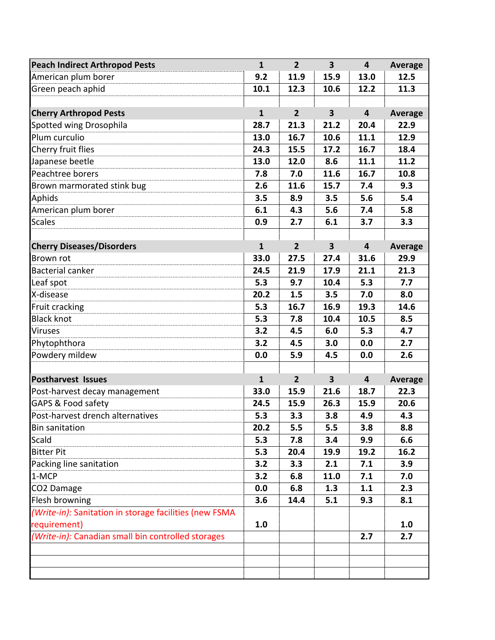| <b>Peach Indirect Arthropod Pests</b>                  | $\mathbf{1}$ | 2 <sup>1</sup> | $\overline{\mathbf{3}}$ | $\overline{\mathbf{4}}$ | <b>Average</b> |
|--------------------------------------------------------|--------------|----------------|-------------------------|-------------------------|----------------|
| American plum borer                                    | 9.2          | 11.9           | 15.9                    | 13.0                    | 12.5           |
| Green peach aphid                                      | 10.1         | 12.3           | 10.6                    | 12.2                    | 11.3           |
|                                                        |              |                |                         |                         |                |
| <b>Cherry Arthropod Pests</b>                          | $\mathbf{1}$ | 2 <sup>1</sup> | $\overline{\mathbf{3}}$ | $\overline{\mathbf{4}}$ | <b>Average</b> |
| Spotted wing Drosophila                                | 28.7         | 21.3           | 21.2                    | 20.4                    | 22.9           |
| Plum curculio                                          | 13.0         | 16.7           | 10.6                    | 11.1                    | 12.9           |
| Cherry fruit flies                                     | 24.3         | 15.5           | 17.2                    | 16.7                    | 18.4           |
| Japanese beetle                                        | 13.0         | 12.0           | 8.6                     | 11.1                    | 11.2           |
| Peachtree borers                                       | 7.8          | 7.0            | 11.6                    | 16.7                    | 10.8           |
| Brown marmorated stink bug                             | 2.6          | 11.6           | 15.7                    | 7.4                     | 9.3            |
| Aphids                                                 | 3.5          | 8.9            | 3.5                     | 5.6                     | 5.4            |
| American plum borer                                    | 6.1          | 4.3            | 5.6                     | 7.4                     | 5.8            |
| <b>Scales</b>                                          | 0.9          | 2.7            | 6.1                     | 3.7                     | 3.3            |
|                                                        |              |                |                         |                         |                |
| <b>Cherry Diseases/Disorders</b>                       | $\mathbf{1}$ | 2 <sup>1</sup> | $\overline{\mathbf{3}}$ | $\overline{\mathbf{4}}$ | <b>Average</b> |
| Brown rot                                              | 33.0         | 27.5           | 27.4                    | 31.6                    | 29.9           |
| <b>Bacterial canker</b>                                | 24.5         | 21.9           | 17.9                    | 21.1                    | 21.3           |
| Leaf spot                                              | 5.3          | 9.7            | 10.4                    | 5.3                     | 7.7            |
| X-disease                                              | 20.2         | 1.5            | 3.5                     | 7.0                     | 8.0            |
| Fruit cracking                                         | 5.3          | 16.7           | 16.9                    | 19.3                    | 14.6           |
| <b>Black knot</b>                                      | 5.3          | 7.8            | 10.4                    | 10.5                    | 8.5            |
| <b>Viruses</b>                                         | 3.2          | 4.5            | 6.0                     | 5.3                     | 4.7            |
| Phytophthora                                           | 3.2          | 4.5            | 3.0                     | 0.0                     | 2.7            |
| Powdery mildew                                         | 0.0          | 5.9            | 4.5                     | 0.0                     | 2.6            |
|                                                        |              |                |                         |                         |                |
| <b>Postharvest Issues</b>                              | $\mathbf{1}$ | $\overline{2}$ | $\overline{\mathbf{3}}$ | $\overline{\mathbf{4}}$ | <b>Average</b> |
| Post-harvest decay management                          | 33.0         | 15.9           | 21.6                    | 18.7                    | 22.3           |
| GAPS & Food safety                                     | 24.5         | 15.9           | 26.3                    | 15.9                    | 20.6           |
| Post-harvest drench alternatives                       | 5.3          | 3.3            | 3.8                     | 4.9                     | 4.3            |
| <b>Bin sanitation</b>                                  | 20.2         | 5.5            | 5.5                     | 3.8                     | 8.8            |
| Scald                                                  | 5.3          | 7.8            | 3.4                     | 9.9                     | 6.6            |
| <b>Bitter Pit</b>                                      | 5.3          | 20.4           | 19.9                    | 19.2                    | 16.2           |
| Packing line sanitation                                | 3.2          | 3.3            | 2.1                     | 7.1                     | 3.9            |
| 1-MCP                                                  | 3.2          | 6.8            | 11.0                    | 7.1                     | 7.0            |
| CO2 Damage                                             | 0.0          | 6.8            | 1.3                     | 1.1                     | 2.3            |
| Flesh browning                                         | 3.6          | 14.4           | 5.1                     | 9.3                     | 8.1            |
| (Write-in): Sanitation in storage facilities (new FSMA |              |                |                         |                         |                |
| requirement)                                           | 1.0          |                |                         |                         | 1.0            |
| (Write-in): Canadian small bin controlled storages     |              |                |                         | 2.7                     | 2.7            |
|                                                        |              |                |                         |                         |                |
|                                                        |              |                |                         |                         |                |
|                                                        |              |                |                         |                         |                |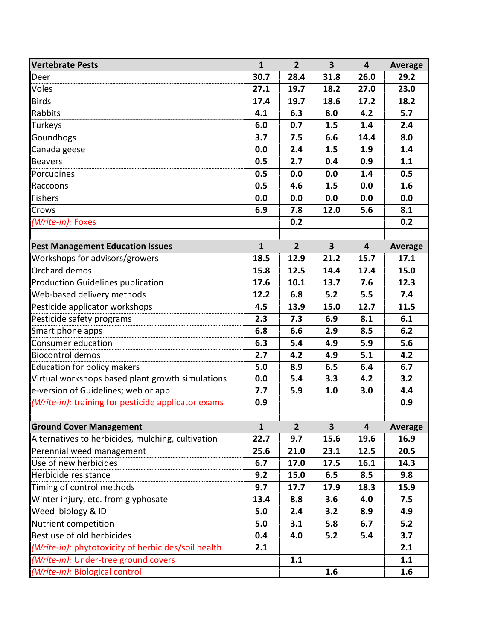| <b>Vertebrate Pests</b>                             | $\mathbf{1}$ | $\overline{2}$ | $\overline{\mathbf{3}}$ | $\overline{\mathbf{4}}$ | <b>Average</b> |
|-----------------------------------------------------|--------------|----------------|-------------------------|-------------------------|----------------|
| Deer                                                | 30.7         | 28.4           | 31.8                    | 26.0                    | 29.2           |
| Voles                                               | 27.1         | 19.7           | 18.2                    | 27.0                    | 23.0           |
| <b>Birds</b>                                        | 17.4         | 19.7           | 18.6                    | 17.2                    | 18.2           |
| Rabbits                                             | 4.1          | 6.3            | 8.0                     | 4.2                     | 5.7            |
| Turkeys                                             | 6.0          | 0.7            | 1.5                     | 1.4                     | 2.4            |
| Goundhogs                                           | 3.7          | 7.5            | 6.6                     | 14.4                    | 8.0            |
| Canada geese                                        | 0.0          | 2.4            | 1.5                     | 1.9                     | 1.4            |
| <b>Beavers</b>                                      | 0.5          | 2.7            | 0.4                     | 0.9                     | 1.1            |
| Porcupines                                          | 0.5          | 0.0            | 0.0                     | 1.4                     | 0.5            |
| Raccoons                                            | 0.5          | 4.6            | 1.5                     | 0.0                     | 1.6            |
| <b>Fishers</b>                                      | 0.0          | 0.0            | 0.0                     | 0.0                     | 0.0            |
| Crows                                               | 6.9          | 7.8            | 12.0                    | 5.6                     | 8.1            |
| (Write-in): Foxes                                   |              | 0.2            |                         |                         | 0.2            |
|                                                     |              |                |                         |                         |                |
| <b>Pest Management Education Issues</b>             | $\mathbf{1}$ | $2^{1}$        | $\overline{\mathbf{3}}$ | $\overline{\mathbf{4}}$ | <b>Average</b> |
| Workshops for advisors/growers                      | 18.5         | 12.9           | 21.2                    | 15.7                    | 17.1           |
| Orchard demos                                       | 15.8         | 12.5           | 14.4                    | 17.4                    | 15.0           |
| <b>Production Guidelines publication</b>            | 17.6         | 10.1           | 13.7                    | 7.6                     | 12.3           |
| Web-based delivery methods                          | 12.2         | 6.8            | 5.2                     | 5.5                     | 7.4            |
| Pesticide applicator workshops                      | 4.5          | 13.9           | 15.0                    | 12.7                    | 11.5           |
| Pesticide safety programs                           | 2.3          | 7.3            | 6.9                     | 8.1                     | 6.1            |
| Smart phone apps                                    | 6.8          | 6.6            | 2.9                     | 8.5                     | 6.2            |
| Consumer education                                  | 6.3          | 5.4            | 4.9                     | 5.9                     | 5.6            |
| <b>Biocontrol demos</b>                             | 2.7          | 4.2            | 4.9                     | 5.1                     | 4.2            |
| Education for policy makers                         | 5.0          | 8.9            | 6.5                     | 6.4                     | 6.7            |
| Virtual workshops based plant growth simulations    | 0.0          | 5.4            | 3.3                     | 4.2                     | 3.2            |
| e-version of Guidelines; web or app                 | 7.7          | 5.9            | 1.0                     | 3.0                     | 4.4            |
| (Write-in): training for pesticide applicator exams | 0.9          |                |                         |                         | 0.9            |
|                                                     |              |                |                         |                         |                |
| <b>Ground Cover Management</b>                      | $\mathbf{1}$ | $\overline{2}$ | $\overline{\mathbf{3}}$ | 4                       | <b>Average</b> |
| Alternatives to herbicides, mulching, cultivation   | 22.7         | 9.7            | 15.6                    | 19.6                    | 16.9           |
| Perennial weed management                           | 25.6         | 21.0           | 23.1                    | 12.5                    | 20.5           |
| Use of new herbicides                               | 6.7          | 17.0           | 17.5                    | 16.1                    | 14.3           |
| Herbicide resistance                                | 9.2          | 15.0           | 6.5                     | 8.5                     | 9.8            |
| Timing of control methods                           | 9.7          | 17.7           | 17.9                    | 18.3                    | 15.9           |
| Winter injury, etc. from glyphosate                 | 13.4         | 8.8            | 3.6                     | 4.0                     | 7.5            |
| Weed biology & ID                                   | 5.0          | 2.4            | 3.2                     | 8.9                     | 4.9            |
| Nutrient competition                                | 5.0          | 3.1            | 5.8                     | 6.7                     | 5.2            |
| Best use of old herbicides                          | 0.4          | 4.0            | 5.2                     | 5.4                     | 3.7            |
| (Write-in): phytotoxicity of herbicides/soil health | 2.1          |                |                         |                         | 2.1            |
| (Write-in): Under-tree ground covers                |              | 1.1            |                         |                         | 1.1            |
| (Write-in): Biological control                      |              |                | 1.6                     |                         | 1.6            |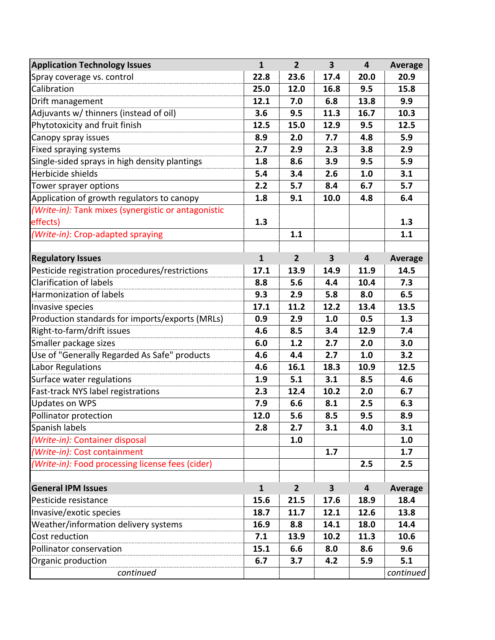| <b>Application Technology Issues</b>                | $\mathbf{1}$ | 2 <sup>2</sup> | $\overline{\mathbf{3}}$ | $\overline{\mathbf{4}}$ | <b>Average</b> |
|-----------------------------------------------------|--------------|----------------|-------------------------|-------------------------|----------------|
| Spray coverage vs. control                          | 22.8         | 23.6           | 17.4                    | 20.0                    | 20.9           |
| Calibration                                         | 25.0         | 12.0           | 16.8                    | 9.5                     | 15.8           |
| Drift management                                    | 12.1         | 7.0            | 6.8                     | 13.8                    | 9.9            |
| Adjuvants w/ thinners (instead of oil)              | 3.6          | 9.5            | 11.3                    | 16.7                    | 10.3           |
| Phytotoxicity and fruit finish                      | 12.5         | 15.0           | 12.9                    | 9.5                     | 12.5           |
| Canopy spray issues                                 | 8.9          | 2.0            | 7.7                     | 4.8                     | 5.9            |
| Fixed spraying systems                              | 2.7          | 2.9            | 2.3                     | 3.8                     | 2.9            |
| Single-sided sprays in high density plantings       | 1.8          | 8.6            | 3.9                     | 9.5                     | 5.9            |
| Herbicide shields                                   | 5.4          | 3.4            | 2.6                     | 1.0                     | 3.1            |
| Tower sprayer options                               | 2.2          | 5.7            | 8.4                     | 6.7                     | 5.7            |
| Application of growth regulators to canopy          | 1.8          | 9.1            | 10.0                    | 4.8                     | 6.4            |
| (Write-in): Tank mixes (synergistic or antagonistic |              |                |                         |                         |                |
| effects)                                            | 1.3          |                |                         |                         | 1.3            |
| (Write-in): Crop-adapted spraying                   |              | 1.1            |                         |                         | 1.1            |
|                                                     |              |                |                         |                         |                |
| <b>Regulatory Issues</b>                            | $\mathbf{1}$ | $\overline{2}$ | $\overline{\mathbf{3}}$ | 4                       | <b>Average</b> |
| Pesticide registration procedures/restrictions      | 17.1         | 13.9           | 14.9                    | 11.9                    | 14.5           |
| <b>Clarification of labels</b>                      | 8.8          | 5.6            | 4.4                     | 10.4                    | 7.3            |
| Harmonization of labels                             | 9.3          | 2.9            | 5.8                     | 8.0                     | 6.5            |
| Invasive species                                    | 17.1         | 11.2           | 12.2                    | 13.4                    | 13.5           |
| Production standards for imports/exports (MRLs)     | 0.9          | 2.9            | 1.0                     | 0.5                     | 1.3            |
| Right-to-farm/drift issues                          | 4.6          | 8.5            | 3.4                     | 12.9                    | 7.4            |
| Smaller package sizes                               | 6.0          | 1.2            | 2.7                     | 2.0                     | 3.0            |
| Use of "Generally Regarded As Safe" products        | 4.6          | 4.4            | 2.7                     | 1.0                     | 3.2            |
| <b>Labor Regulations</b>                            | 4.6          | 16.1           | 18.3                    | 10.9                    | 12.5           |
| Surface water regulations                           | 1.9          | 5.1            | 3.1                     | 8.5                     | 4.6            |
| Fast-track NYS label registrations                  | 2.3          | 12.4           | 10.2                    | 2.0                     | 6.7            |
| <b>Updates on WPS</b>                               | 7.9          | 6.6            | 8.1                     | 2.5                     | 6.3            |
| Pollinator protection                               | 12.0         | 5.6            | 8.5                     | 9.5                     | 8.9            |
| Spanish labels                                      | 2.8          | 2.7            | 3.1                     | 4.0                     | 3.1            |
| (Write-in): Container disposal                      |              | 1.0            |                         |                         | 1.0            |
| (Write-in): Cost containment                        |              |                | 1.7                     |                         | 1.7            |
| (Write-in): Food processing license fees (cider)    |              |                |                         | 2.5                     | 2.5            |
| <b>General IPM Issues</b>                           | $\mathbf{1}$ | 2 <sup>2</sup> | $\mathbf{3}$            | $\overline{\mathbf{4}}$ | Average        |
| Pesticide resistance                                | 15.6         | 21.5           | 17.6                    | 18.9                    | 18.4           |
| Invasive/exotic species                             | 18.7         | 11.7           | 12.1                    | 12.6                    | 13.8           |
| Weather/information delivery systems                | 16.9         | 8.8            | 14.1                    | 18.0                    | 14.4           |
| Cost reduction                                      | 7.1          | 13.9           | 10.2                    | 11.3                    | 10.6           |
| Pollinator conservation                             | 15.1         | 6.6            | 8.0                     | 8.6                     | 9.6            |
|                                                     |              |                |                         | 5.9                     | 5.1            |
| Organic production                                  | 6.7          | 3.7            | 4.2                     |                         |                |
| continued                                           |              |                |                         |                         | continued      |